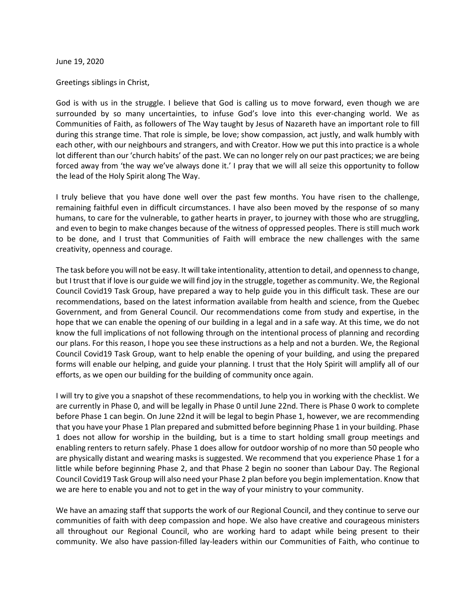June 19, 2020

Greetings siblings in Christ,

God is with us in the struggle. I believe that God is calling us to move forward, even though we are surrounded by so many uncertainties, to infuse God's love into this ever-changing world. We as Communities of Faith, as followers of The Way taught by Jesus of Nazareth have an important role to fill during this strange time. That role is simple, be love; show compassion, act justly, and walk humbly with each other, with our neighbours and strangers, and with Creator. How we put this into practice is a whole lot different than our 'church habits' of the past. We can no longer rely on our past practices; we are being forced away from 'the way we've always done it.' I pray that we will all seize this opportunity to follow the lead of the Holy Spirit along The Way.

I truly believe that you have done well over the past few months. You have risen to the challenge, remaining faithful even in difficult circumstances. I have also been moved by the response of so many humans, to care for the vulnerable, to gather hearts in prayer, to journey with those who are struggling, and even to begin to make changes because of the witness of oppressed peoples. There is still much work to be done, and I trust that Communities of Faith will embrace the new challenges with the same creativity, openness and courage.

The task before you will not be easy. It will take intentionality, attention to detail, and openness to change, but I trust that if love is our guide we will find joy in the struggle, together as community. We, the Regional Council Covid19 Task Group, have prepared a way to help guide you in this difficult task. These are our recommendations, based on the latest information available from health and science, from the Quebec Government, and from General Council. Our recommendations come from study and expertise, in the hope that we can enable the opening of our building in a legal and in a safe way. At this time, we do not know the full implications of not following through on the intentional process of planning and recording our plans. For this reason, I hope you see these instructions as a help and not a burden. We, the Regional Council Covid19 Task Group, want to help enable the opening of your building, and using the prepared forms will enable our helping, and guide your planning. I trust that the Holy Spirit will amplify all of our efforts, as we open our building for the building of community once again.

I will try to give you a snapshot of these recommendations, to help you in working with the checklist. We are currently in Phase 0, and will be legally in Phase 0 until June 22nd. There is Phase 0 work to complete before Phase 1 can begin. On June 22nd it will be legal to begin Phase 1, however, we are recommending that you have your Phase 1 Plan prepared and submitted before beginning Phase 1 in your building. Phase 1 does not allow for worship in the building, but is a time to start holding small group meetings and enabling renters to return safely. Phase 1 does allow for outdoor worship of no more than 50 people who are physically distant and wearing masks is suggested. We recommend that you experience Phase 1 for a little while before beginning Phase 2, and that Phase 2 begin no sooner than Labour Day. The Regional Council Covid19 Task Group will also need your Phase 2 plan before you begin implementation. Know that we are here to enable you and not to get in the way of your ministry to your community.

We have an amazing staff that supports the work of our Regional Council, and they continue to serve our communities of faith with deep compassion and hope. We also have creative and courageous ministers all throughout our Regional Council, who are working hard to adapt while being present to their community. We also have passion-filled lay-leaders within our Communities of Faith, who continue to